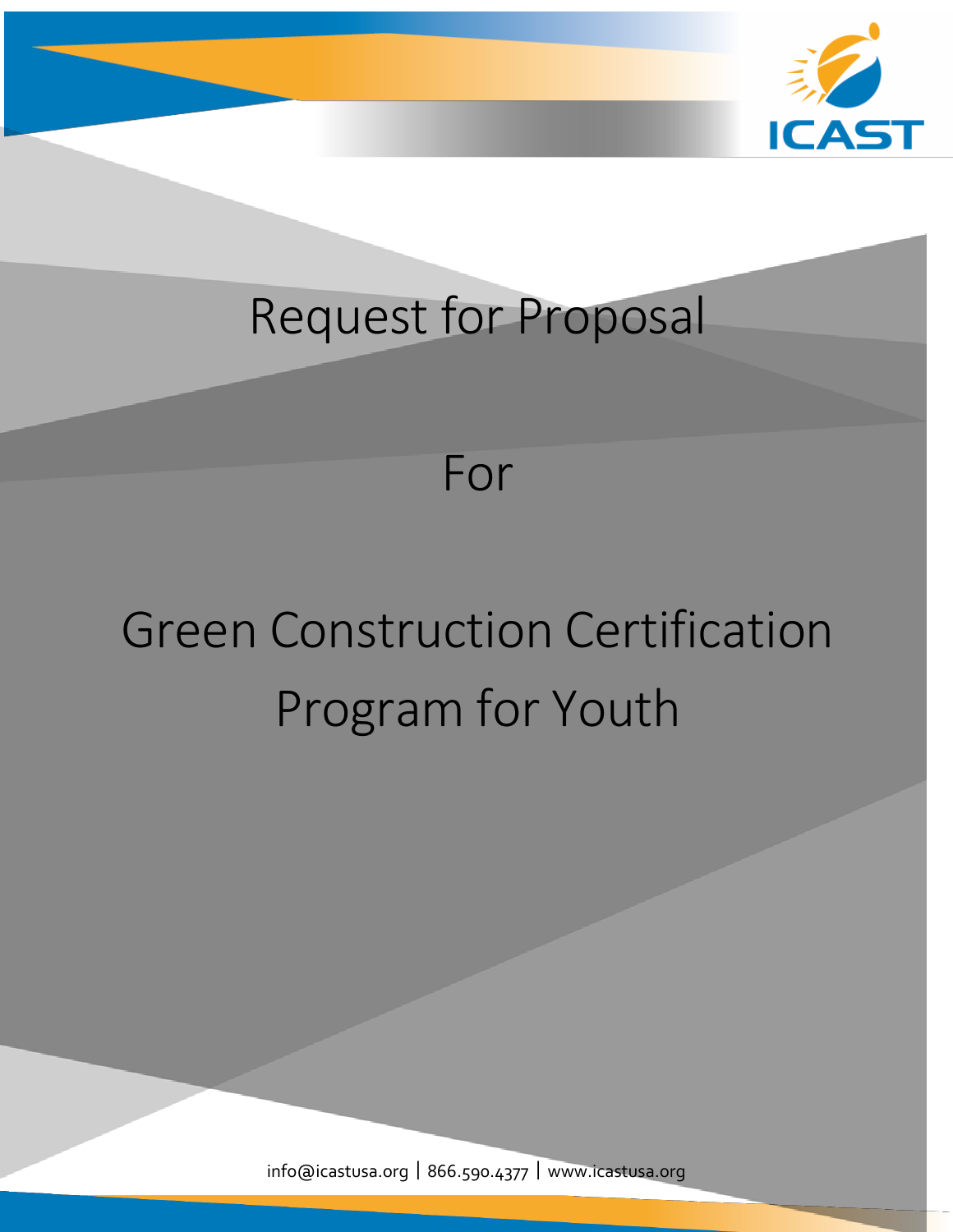

# Request for Proposal



# Green Construction Certification Program for Youth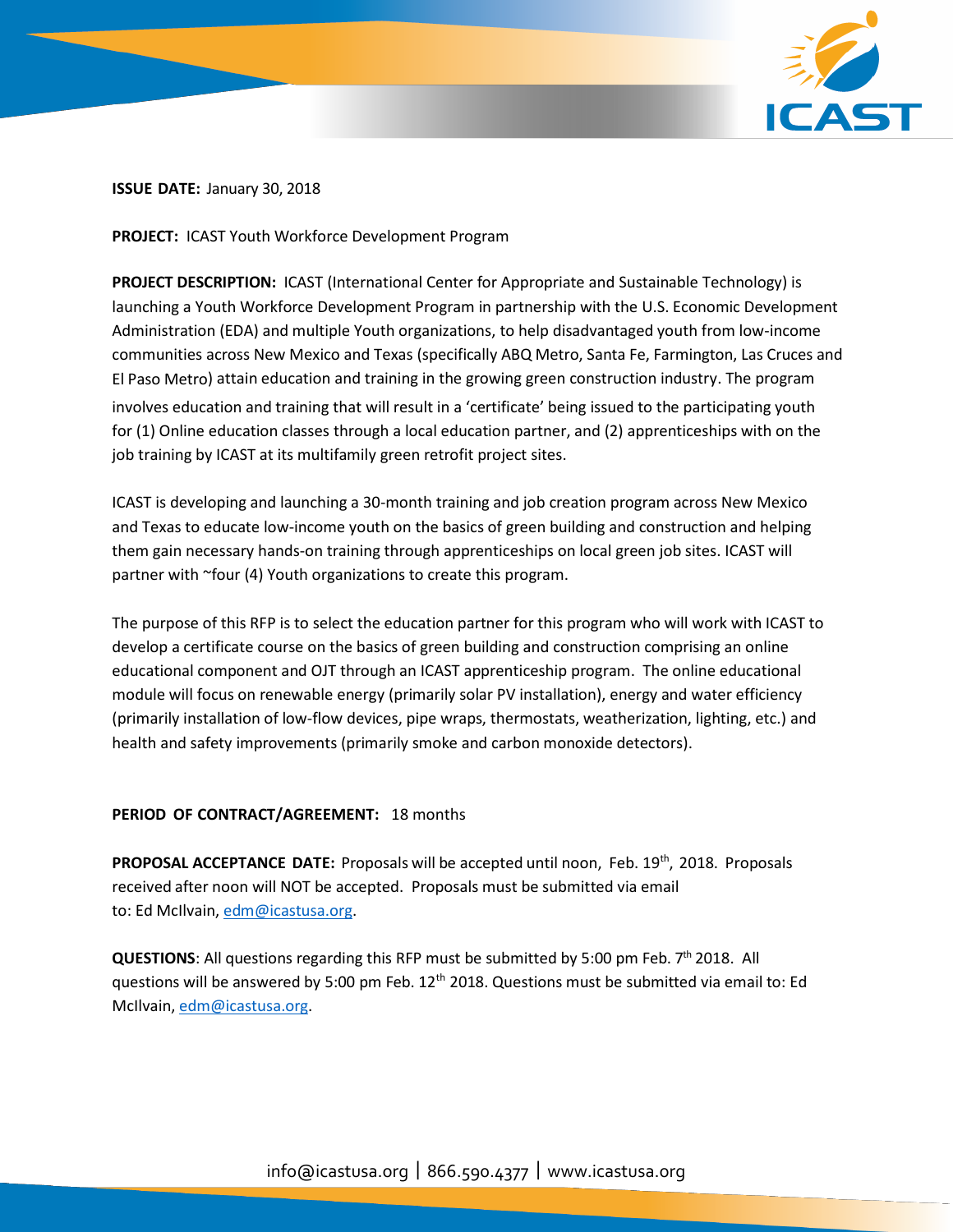

# **ISSUE DATE:** January 30, 2018

**PROJECT:** ICAST Youth Workforce Development Program

**PROJECT DESCRIPTION:** ICAST (International Center for Appropriate and Sustainable Technology) is launching a Youth Workforce Development Program in partnership with the U.S. Economic Development Administration (EDA) and multiple Youth organizations, to help disadvantaged youth from low-income communities across New Mexico and Texas (specifically ABQ Metro, Santa Fe, Farmington, Las Cruces and El Paso Metro) attain education and training in the growing green construction industry. The program involves education and training that will result in a 'certificate' being issued to the participating youth for (1) Online education classes through a local education partner, and (2) apprenticeships with on the job training by ICAST at its multifamily green retrofit project sites.

ICAST is developing and launching a 30-month training and job creation program across New Mexico and Texas to educate low-income youth on the basics of green building and construction and helping them gain necessary hands-on training through apprenticeships on local green job sites. ICAST will partner with ~four (4) Youth organizations to create this program.

The purpose of this RFP is to select the education partner for this program who will work with ICAST to develop a certificate course on the basics of green building and construction comprising an online educational component and OJT through an ICAST apprenticeship program. The online educational module will focus on renewable energy (primarily solar PV installation), energy and water efficiency (primarily installation of low-flow devices, pipe wraps, thermostats, weatherization, lighting, etc.) and health and safety improvements (primarily smoke and carbon monoxide detectors).

# **PERIOD OF CONTRACT/AGREEMENT:** 18 months

**PROPOSAL ACCEPTANCE DATE:** Proposals will be accepted until noon, Feb. 19th , 2018. Proposals received after noon will NOT be accepted. Proposals must be submitted via email to: Ed McIlvain[, edm@icastusa.org.](mailto:edm@icastusa.org)

QUESTIONS: All questions regarding this RFP must be submitted by 5:00 pm Feb. 7<sup>th</sup> 2018. All questions will be answered by 5:00 pm Feb. 12<sup>th</sup> 2018. Questions must be submitted via email to: Ed McIlvain, [edm@icastusa.org.](mailto:edm@icastusa.org)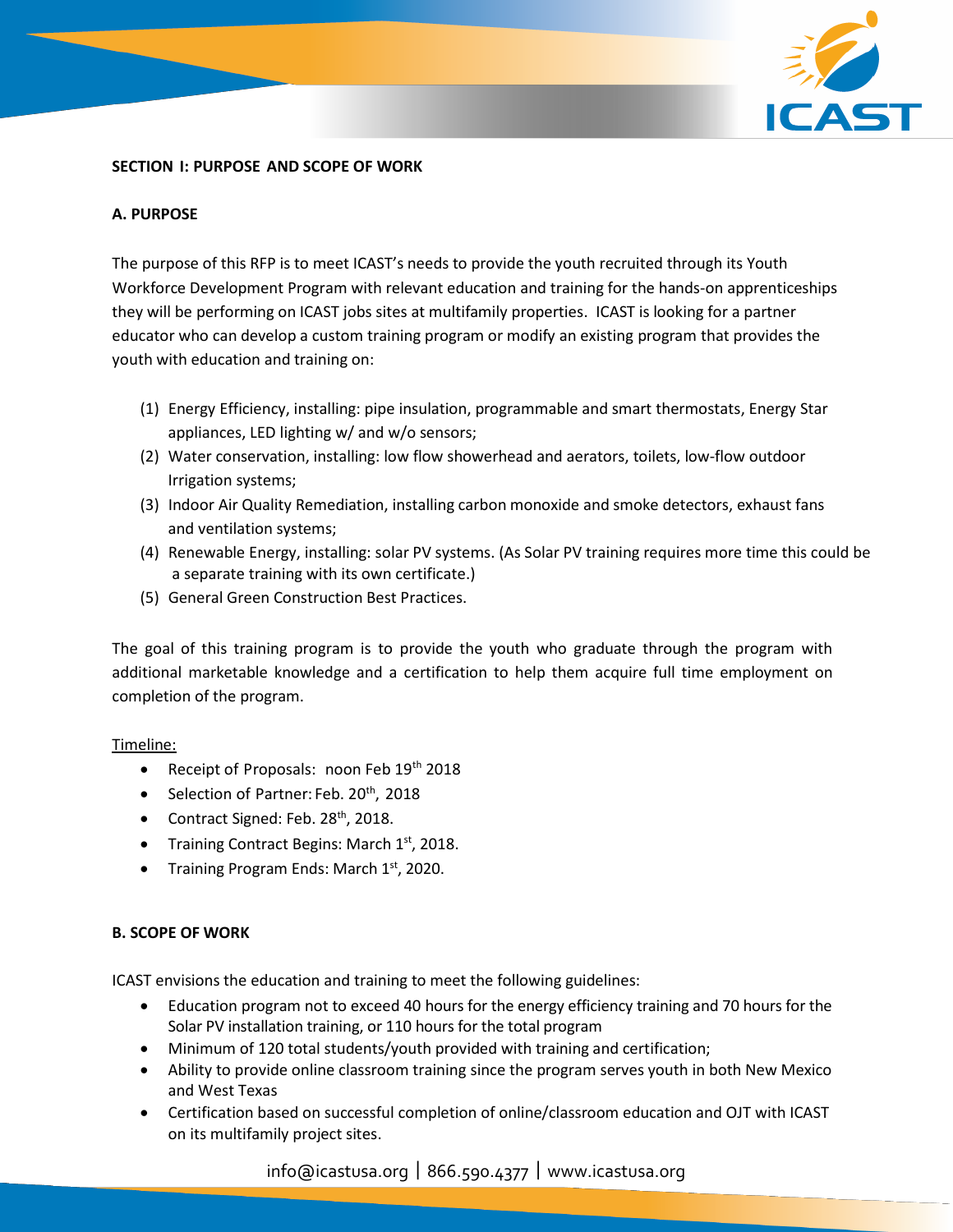

# **SECTION I: PURPOSE AND SCOPE OF WORK**

# **A. PURPOSE**

The purpose of this RFP is to meet ICAST's needs to provide the youth recruited through its Youth Workforce Development Program with relevant education and training for the hands-on apprenticeships they will be performing on ICAST jobs sites at multifamily properties. ICAST is looking for a partner educator who can develop a custom training program or modify an existing program that provides the youth with education and training on:

- (1) Energy Efficiency, installing: pipe insulation, programmable and smart thermostats, Energy Star appliances, LED lighting w/ and w/o sensors;
- (2) Water conservation, installing: low flow showerhead and aerators, toilets, low-flow outdoor Irrigation systems;
- (3) Indoor Air Quality Remediation, installing carbon monoxide and smoke detectors, exhaust fans and ventilation systems;
- (4) Renewable Energy, installing: solar PV systems. (As Solar PV training requires more time this could be a separate training with its own certificate.)
- (5) General Green Construction Best Practices.

The goal of this training program is to provide the youth who graduate through the program with additional marketable knowledge and a certification to help them acquire full time employment on completion of the program.

# Timeline:

- Receipt of Proposals: noon Feb 19th 2018
- Selection of Partner: Feb. 20<sup>th</sup>, 2018
- Contract Signed: Feb. 28<sup>th</sup>, 2018.
- Training Contract Begins: March 1<sup>st</sup>, 2018.
- Training Program Ends: March 1st, 2020.

# **B. SCOPE OF WORK**

ICAST envisions the education and training to meet the following guidelines:

- Education program not to exceed 40 hours for the energy efficiency training and 70 hours for the Solar PV installation training, or 110 hours for the total program
- Minimum of 120 total students/youth provided with training and certification;
- Ability to provide online classroom training since the program serves youth in both New Mexico and West Texas
- Certification based on successful completion of online/classroom education and OJT with ICAST on its multifamily project sites.

# info@icastusa.org|866.590.4377|[www.icastusa.org](http://www.icastusa.org/)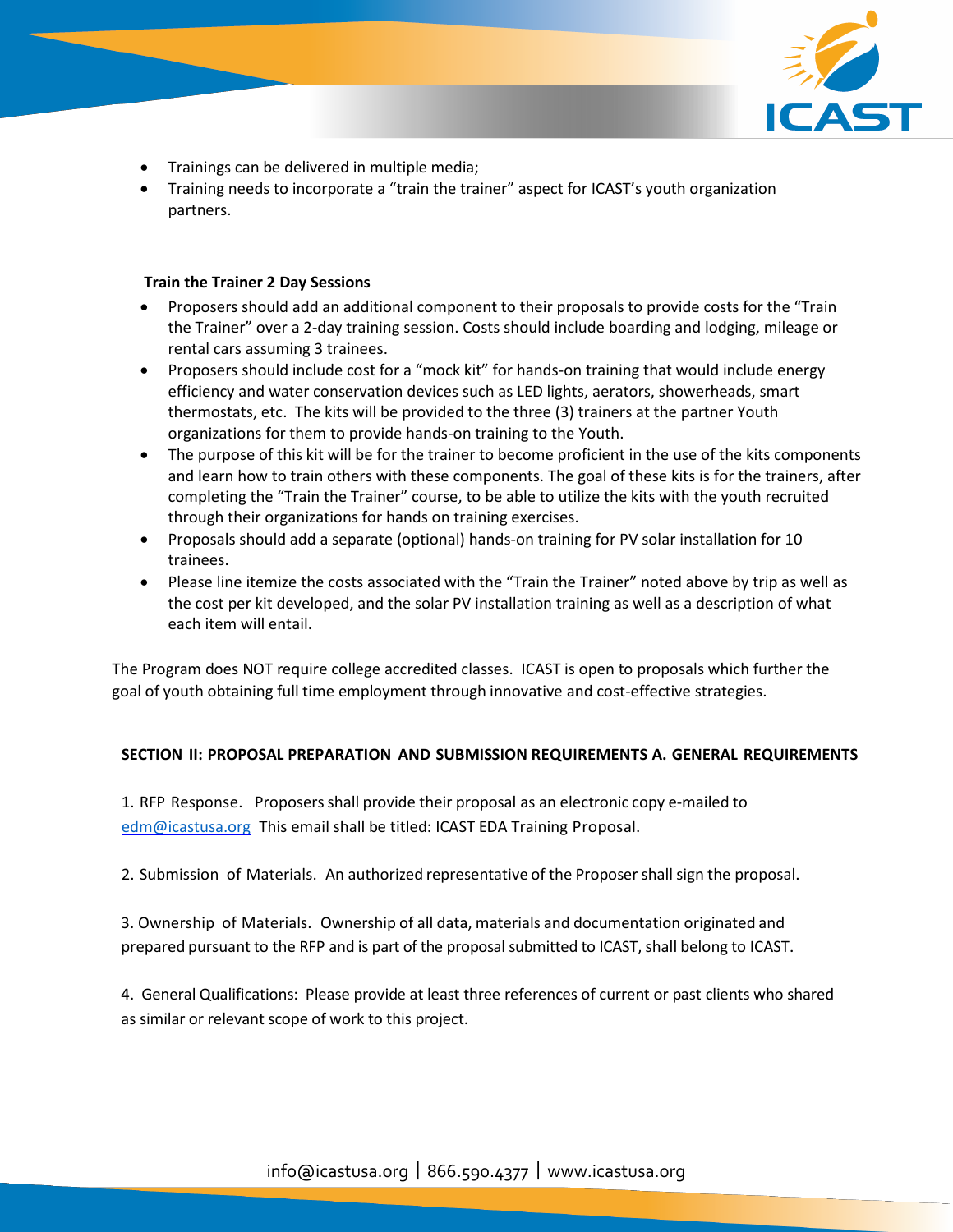

- Trainings can be delivered in multiple media;
- Training needs to incorporate a "train the trainer" aspect for ICAST's youth organization partners.

# **Train the Trainer 2 Day Sessions**

- Proposers should add an additional component to their proposals to provide costs for the "Train the Trainer" over a 2-day training session. Costs should include boarding and lodging, mileage or rental cars assuming 3 trainees.
- Proposers should include cost for a "mock kit" for hands-on training that would include energy efficiency and water conservation devices such as LED lights, aerators, showerheads, smart thermostats, etc. The kits will be provided to the three (3) trainers at the partner Youth organizations for them to provide hands-on training to the Youth.
- The purpose of this kit will be for the trainer to become proficient in the use of the kits components and learn how to train others with these components. The goal of these kits is for the trainers, after completing the "Train the Trainer" course, to be able to utilize the kits with the youth recruited through their organizations for hands on training exercises.
- Proposals should add a separate (optional) hands-on training for PV solar installation for 10 trainees.
- Please line itemize the costs associated with the "Train the Trainer" noted above by trip as well as the cost per kit developed, and the solar PV installation training as well as a description of what each item will entail.

The Program does NOT require college accredited classes. ICAST is open to proposals which further the goal of youth obtaining full time employment through innovative and cost-effective strategies.

# **SECTION II: PROPOSAL PREPARATION AND SUBMISSION REQUIREMENTS A. GENERAL REQUIREMENTS**

1. RFP Response. Proposersshall provide their proposal as an electronic copy e-mailed to [edm@icastusa.org](mailto:edm@icastusa.org) This email shall be titled: ICAST EDA Training Proposal.

2. Submission of Materials. An authorized representative of the Proposer shall sign the proposal.

3. Ownership of Materials. Ownership of all data, materials and documentation originated and prepared pursuant to the RFP and is part of the proposal submitted to ICAST, shall belong to ICAST.

4. General Qualifications: Please provide at least three references of current or past clients who shared as similar or relevant scope of work to this project.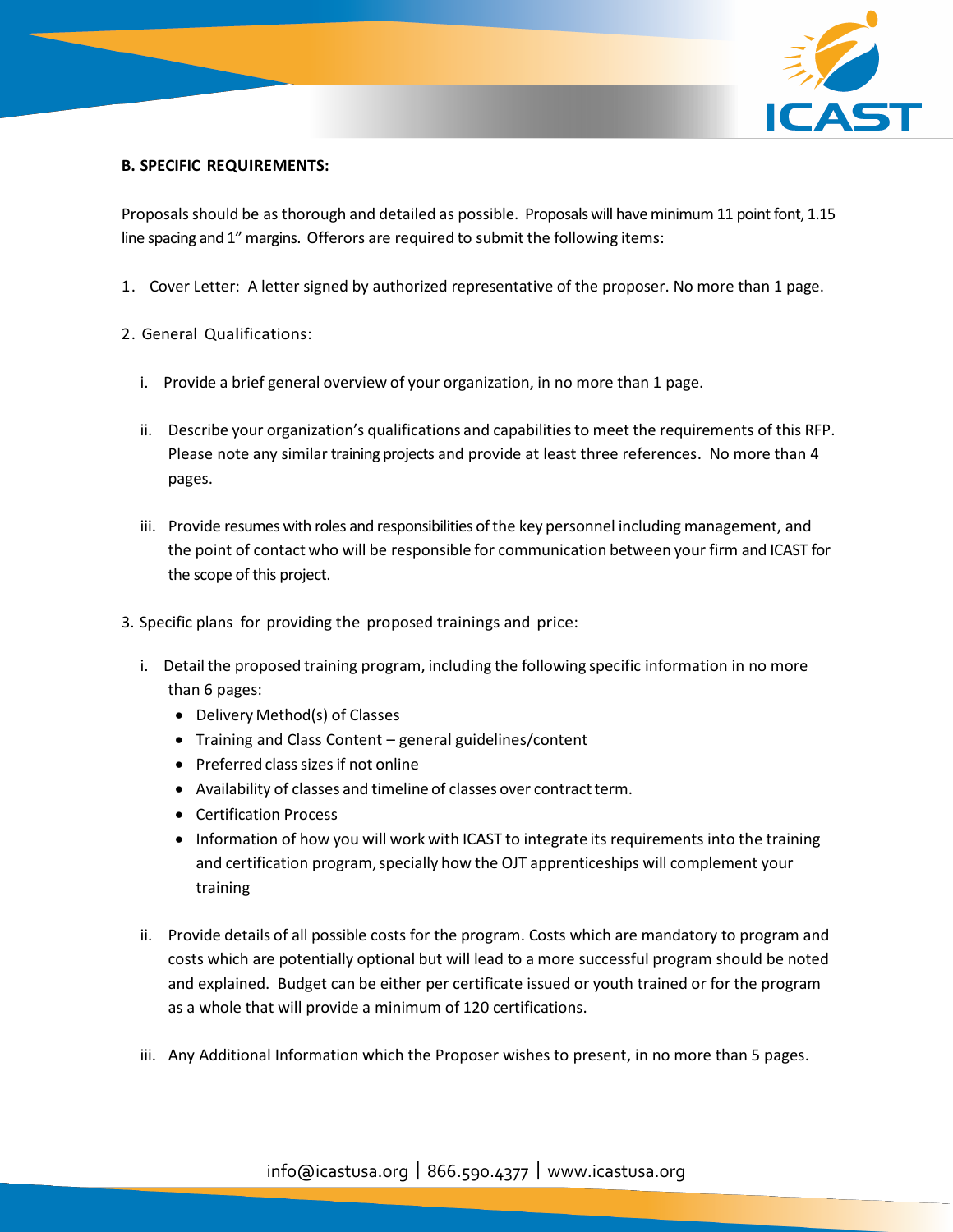

# **B. SPECIFIC REQUIREMENTS:**

Proposals should be as thorough and detailed as possible. Proposals will have minimum 11 point font, 1.15 line spacing and 1" margins. Offerors are required to submit the following items:

- 1. Cover Letter: A letter signed by authorized representative of the proposer. No more than 1 page.
- 2. General Qualifications:
	- i. Provide a brief general overview of your organization, in no more than 1 page.
	- ii. Describe your organization's qualifications and capabilitiesto meet the requirements of this RFP. Please note any similar training projects and provide at least three references. No more than 4 pages.
	- iii. Provide resumes with roles and responsibilities ofthe key personnel including management, and the point of contact who will be responsible for communication between your firm and ICAST for the scope of this project.
- 3. Specific plans for providing the proposed trainings and price:
	- i. Detail the proposed training program, including the following specific information in no more than 6 pages:
		- Delivery Method(s) of Classes
		- Training and Class Content general guidelines/content
		- $\bullet$  Preferred class sizes if not online
		- Availability of classes and timeline of classes over contract term.
		- Certification Process
		- Information of how you will work with ICAST to integrate its requirements into the training and certification program, specially how the OJT apprenticeships will complement your training
	- ii. Provide details of all possible costs for the program. Costs which are mandatory to program and costs which are potentially optional but will lead to a more successful program should be noted and explained. Budget can be either per certificate issued or youth trained or for the program as a whole that will provide a minimum of 120 certifications.
	- iii. Any Additional Information which the Proposer wishes to present, in no more than 5 pages.